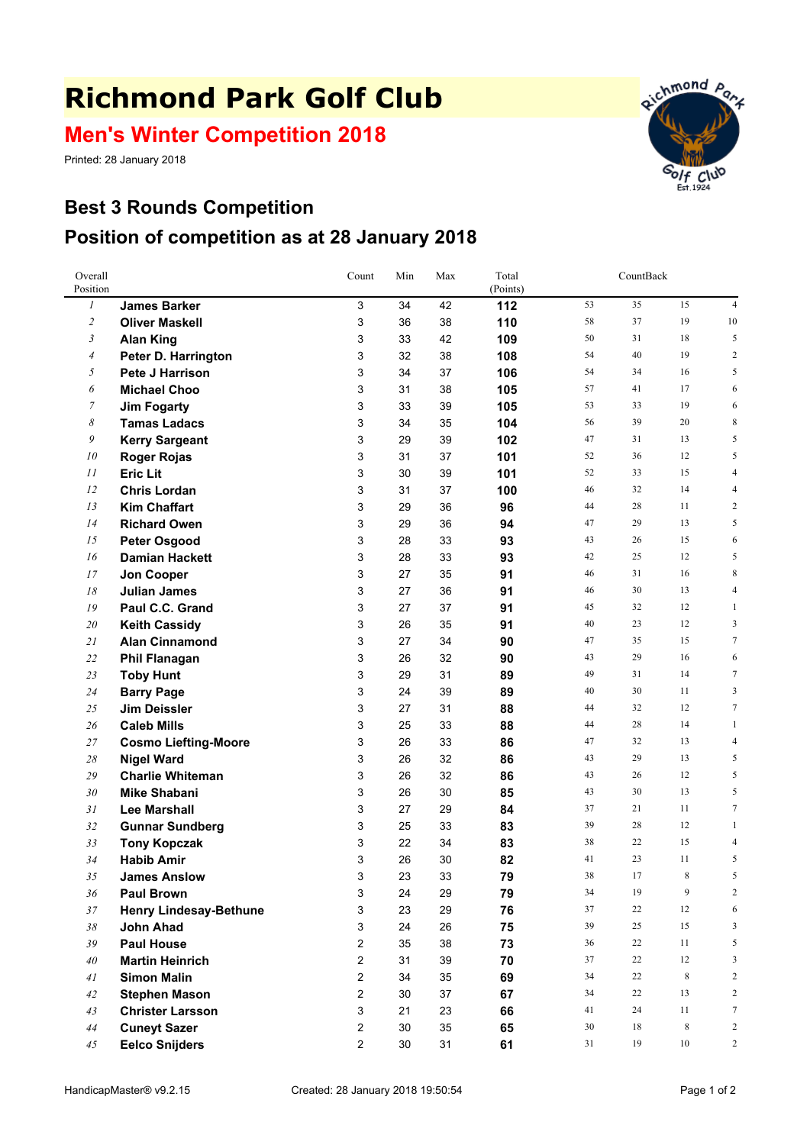## **Richmond Park Golf Club**

## **Men's Winter Competition 2018**

Printed: 28 January 2018



## **Best 3 Rounds Competition Position of competition as at 28 January 2018**

| Overall<br>Position |                               | Count | Min    | Max | Total<br>(Points) | CountBack |          |                 |                         |
|---------------------|-------------------------------|-------|--------|-----|-------------------|-----------|----------|-----------------|-------------------------|
| $\mathfrak{1}$      | <b>James Barker</b>           | 3     | 34     | 42  | 112               | 53        | 35       | 15              | $\overline{4}$          |
| $\overline{c}$      | <b>Oliver Maskell</b>         | 3     | 36     | 38  | 110               | 58        | 37       | 19              | 10                      |
| 3                   | <b>Alan King</b>              | 3     | 33     | 42  | 109               | 50        | 31       | 18              | 5                       |
| $\overline{4}$      | Peter D. Harrington           | 3     | 32     | 38  | 108               | 54        | 40       | 19              | $\mathfrak{2}$          |
| 5                   | Pete J Harrison               | 3     | 34     | 37  | 106               | 54        | 34       | 16              | 5                       |
| 6                   | <b>Michael Choo</b>           | 3     | 31     | 38  | 105               | 57        | 41       | 17              | 6                       |
| $\overline{7}$      | <b>Jim Fogarty</b>            | 3     | 33     | 39  | 105               | 53        | 33       | 19              | 6                       |
| 8                   | <b>Tamas Ladacs</b>           | 3     | 34     | 35  | 104               | 56        | 39       | 20              | 8                       |
| 9                   | <b>Kerry Sargeant</b>         | 3     | 29     | 39  | 102               | 47        | 31       | 13              | 5                       |
| 10                  | <b>Roger Rojas</b>            | 3     | 31     | 37  | 101               | 52        | 36       | 12              | 5                       |
| 11                  | <b>Eric Lit</b>               | 3     | 30     | 39  | 101               | 52        | 33       | 15              | 4                       |
| 12                  | <b>Chris Lordan</b>           | 3     | 31     | 37  | 100               | 46        | 32       | 14              | 4                       |
| 13                  | <b>Kim Chaffart</b>           | 3     | 29     | 36  | 96                | 44        | 28       | 11              | $\overline{\mathbf{c}}$ |
| 14                  | <b>Richard Owen</b>           | 3     | 29     | 36  | 94                | 47        | 29       | 13              | 5                       |
| 15                  | <b>Peter Osgood</b>           | 3     | 28     | 33  | 93                | 43        | 26       | 15              | 6                       |
| 16                  | <b>Damian Hackett</b>         | 3     | 28     | 33  | 93                | 42        | 25       | 12              | 5                       |
| 17                  | Jon Cooper                    | 3     | 27     | 35  | 91                | 46        | 31       | 16              | 8                       |
| 18                  | <b>Julian James</b>           | 3     | 27     | 36  | 91                | 46        | 30       | 13              | 4                       |
| 19                  | Paul C.C. Grand               | 3     | 27     | 37  | 91                | 45        | 32       | 12              | 1                       |
| 20                  | <b>Keith Cassidy</b>          | 3     | 26     | 35  | 91                | 40        | 23       | 12              | 3                       |
| 21                  | <b>Alan Cinnamond</b>         | 3     | 27     | 34  | 90                | 47        | 35       | 15              | $\tau$                  |
| 22                  | <b>Phil Flanagan</b>          | 3     | 26     | 32  | 90                | 43        | 29       | 16              | 6                       |
| 23                  | <b>Toby Hunt</b>              | 3     | 29     | 31  | 89                | 49        | 31       | 14              | $\tau$                  |
| 24                  | <b>Barry Page</b>             | 3     | 24     | 39  | 89                | 40        | 30       | 11              | 3                       |
| 25                  | <b>Jim Deissler</b>           | 3     | 27     | 31  | 88                | 44        | 32       | 12              | $\tau$                  |
| 26                  | <b>Caleb Mills</b>            | 3     | 25     | 33  | 88                | 44        | 28       | 14              | $\mathbf{1}$            |
| 27                  | <b>Cosmo Liefting-Moore</b>   | 3     | 26     | 33  | 86                | 47        | 32       | 13              | 4                       |
| 28                  | <b>Nigel Ward</b>             | 3     | 26     | 32  | 86                | 43        | 29       | 13              | 5                       |
| 29                  | <b>Charlie Whiteman</b>       | 3     | 26     | 32  | 86                | 43        | 26       | 12              | 5                       |
| 30                  | <b>Mike Shabani</b>           | 3     | 26     | 30  | 85                | 43        | 30       | 13              | 5                       |
| 31                  | <b>Lee Marshall</b>           | 3     | 27     | 29  | 84                | 37        | 21       | 11              | $\tau$                  |
| 32                  | <b>Gunnar Sundberg</b>        | 3     | 25     | 33  | 83                | 39        | 28       | 12              | 1                       |
| 33                  | <b>Tony Kopczak</b>           | 3     | 22     | 34  | 83                | 38        | 22       | 15              | 4                       |
| 34                  | <b>Habib Amir</b>             | 3     | 26     | 30  | 82                | 41        | 23       | 11              | 5                       |
| 35                  | <b>James Anslow</b>           | 3     | 23     | 33  | 79                | 38        | 17       | 8               | 5                       |
| 36                  | <b>Paul Brown</b>             | 3     | 24     | 29  | 79                | 34        | 19       | 9               | $\overline{2}$          |
| 37                  | <b>Henry Lindesay-Bethune</b> | 3     | 23     | 29  | 76                | 37        | 22<br>25 | 12              | 6                       |
| $38\,$              | John Ahad                     | 3     | 24     | 26  | 75                | 39        |          | 15              | 3                       |
| 39                  | <b>Paul House</b>             | 2     | 35     | 38  | 73                | 36        | 22       | 11              | 5                       |
| $40\,$              | <b>Martin Heinrich</b>        | 2     | 31     | 39  | 70                | 37<br>34  | 22<br>22 | 12              | 3<br>$\mathfrak{2}$     |
| 41                  | <b>Simon Malin</b>            | 2     | 34     | 35  | 69                | 34        | 22       | $\,8\,$         | $\mathfrak{2}$          |
| 42                  | <b>Stephen Mason</b>          | 2     | 30     | 37  | 67                |           | 24       | 13              | $\tau$                  |
| 43                  | <b>Christer Larsson</b>       | 3     | 21     | 23  | 66                | 41        |          | 11              | $\overline{2}$          |
| 44                  | <b>Cuneyt Sazer</b>           | 2     | 30     | 35  | 65                | 30        | 18       | 8               |                         |
| 45                  | <b>Eelco Snijders</b>         | 2     | $30\,$ | 31  | 61                | 31        | 19       | 10 <sup>°</sup> | $\overline{c}$          |